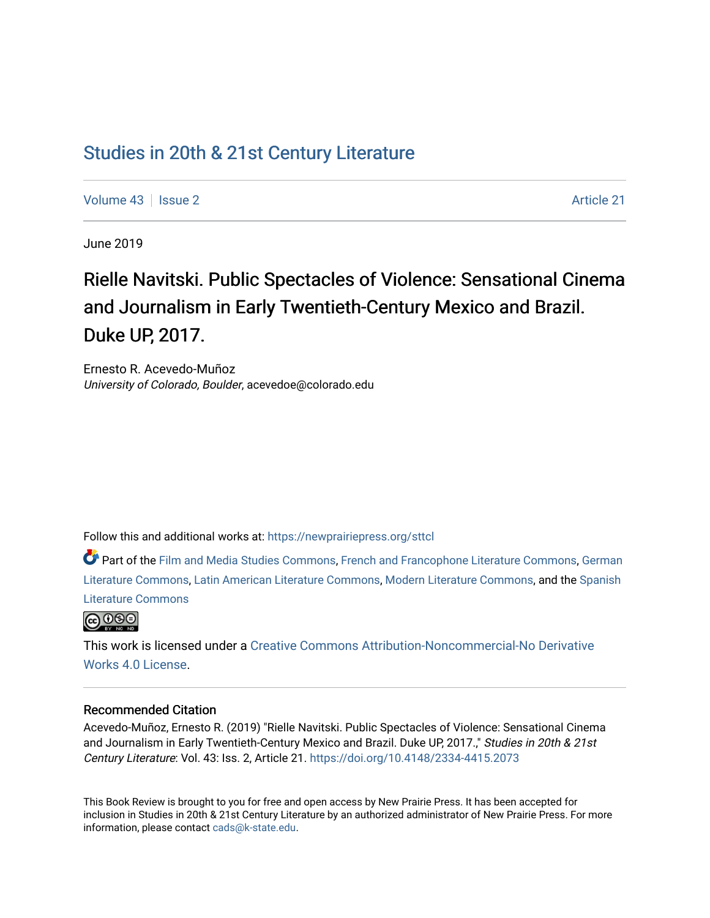## [Studies in 20th & 21st Century Literature](https://newprairiepress.org/sttcl)

[Volume 43](https://newprairiepress.org/sttcl/vol43) | [Issue 2](https://newprairiepress.org/sttcl/vol43/iss2) Article 21

June 2019

# Rielle Navitski. Public Spectacles of Violence: Sensational Cinema and Journalism in Early Twentieth-Century Mexico and Brazil. Duke UP, 2017.

Ernesto R. Acevedo-Muñoz University of Colorado, Boulder, acevedoe@colorado.edu

Follow this and additional works at: [https://newprairiepress.org/sttcl](https://newprairiepress.org/sttcl?utm_source=newprairiepress.org%2Fsttcl%2Fvol43%2Fiss2%2F21&utm_medium=PDF&utm_campaign=PDFCoverPages) 

Part of the [Film and Media Studies Commons,](http://network.bepress.com/hgg/discipline/563?utm_source=newprairiepress.org%2Fsttcl%2Fvol43%2Fiss2%2F21&utm_medium=PDF&utm_campaign=PDFCoverPages) [French and Francophone Literature Commons,](http://network.bepress.com/hgg/discipline/465?utm_source=newprairiepress.org%2Fsttcl%2Fvol43%2Fiss2%2F21&utm_medium=PDF&utm_campaign=PDFCoverPages) [German](http://network.bepress.com/hgg/discipline/469?utm_source=newprairiepress.org%2Fsttcl%2Fvol43%2Fiss2%2F21&utm_medium=PDF&utm_campaign=PDFCoverPages) [Literature Commons,](http://network.bepress.com/hgg/discipline/469?utm_source=newprairiepress.org%2Fsttcl%2Fvol43%2Fiss2%2F21&utm_medium=PDF&utm_campaign=PDFCoverPages) [Latin American Literature Commons,](http://network.bepress.com/hgg/discipline/547?utm_source=newprairiepress.org%2Fsttcl%2Fvol43%2Fiss2%2F21&utm_medium=PDF&utm_campaign=PDFCoverPages) [Modern Literature Commons](http://network.bepress.com/hgg/discipline/1050?utm_source=newprairiepress.org%2Fsttcl%2Fvol43%2Fiss2%2F21&utm_medium=PDF&utm_campaign=PDFCoverPages), and the [Spanish](http://network.bepress.com/hgg/discipline/550?utm_source=newprairiepress.org%2Fsttcl%2Fvol43%2Fiss2%2F21&utm_medium=PDF&utm_campaign=PDFCoverPages)  [Literature Commons](http://network.bepress.com/hgg/discipline/550?utm_source=newprairiepress.org%2Fsttcl%2Fvol43%2Fiss2%2F21&utm_medium=PDF&utm_campaign=PDFCoverPages) 



This work is licensed under a [Creative Commons Attribution-Noncommercial-No Derivative](https://creativecommons.org/licenses/by-nc-nd/4.0/)  [Works 4.0 License](https://creativecommons.org/licenses/by-nc-nd/4.0/).

#### Recommended Citation

Acevedo-Muñoz, Ernesto R. (2019) "Rielle Navitski. Public Spectacles of Violence: Sensational Cinema and Journalism in Early Twentieth-Century Mexico and Brazil. Duke UP, 2017.," Studies in 20th & 21st Century Literature: Vol. 43: Iss. 2, Article 21.<https://doi.org/10.4148/2334-4415.2073>

This Book Review is brought to you for free and open access by New Prairie Press. It has been accepted for inclusion in Studies in 20th & 21st Century Literature by an authorized administrator of New Prairie Press. For more information, please contact [cads@k-state.edu](mailto:cads@k-state.edu).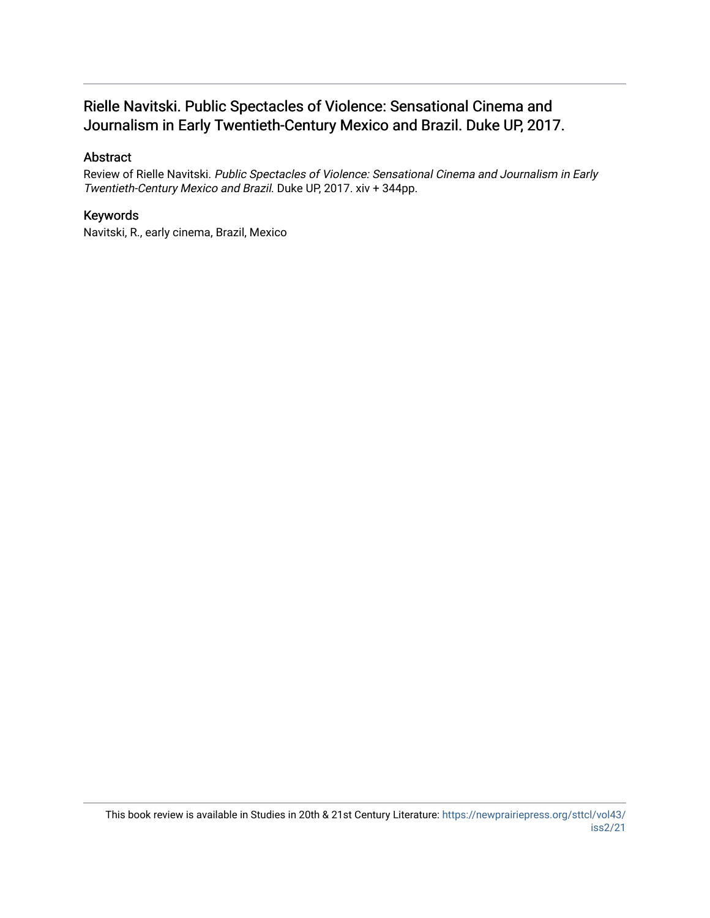## Rielle Navitski. Public Spectacles of Violence: Sensational Cinema and Journalism in Early Twentieth-Century Mexico and Brazil. Duke UP, 2017.

## Abstract

Review of Rielle Navitski. Public Spectacles of Violence: Sensational Cinema and Journalism in Early Twentieth-Century Mexico and Brazil. Duke UP, 2017. xiv + 344pp.

## Keywords

Navitski, R., early cinema, Brazil, Mexico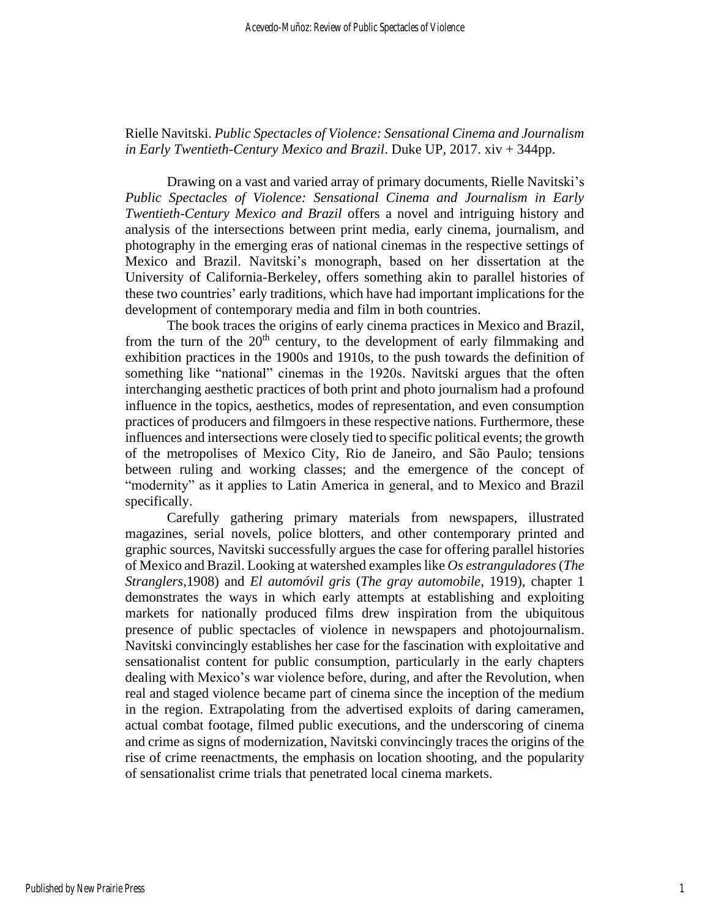Rielle Navitski. *Public Spectacles of Violence: Sensational Cinema and Journalism in Early Twentieth-Century Mexico and Brazil*. Duke UP, 2017. xiv + 344pp.

Drawing on a vast and varied array of primary documents, Rielle Navitski's *Public Spectacles of Violence: Sensational Cinema and Journalism in Early Twentieth-Century Mexico and Brazil* offers a novel and intriguing history and analysis of the intersections between print media, early cinema, journalism, and photography in the emerging eras of national cinemas in the respective settings of Mexico and Brazil. Navitski's monograph, based on her dissertation at the University of California-Berkeley, offers something akin to parallel histories of these two countries' early traditions, which have had important implications for the development of contemporary media and film in both countries.

The book traces the origins of early cinema practices in Mexico and Brazil, from the turn of the  $20<sup>th</sup>$  century, to the development of early filmmaking and exhibition practices in the 1900s and 1910s, to the push towards the definition of something like "national" cinemas in the 1920s. Navitski argues that the often interchanging aesthetic practices of both print and photo journalism had a profound influence in the topics, aesthetics, modes of representation, and even consumption practices of producers and filmgoers in these respective nations. Furthermore, these influences and intersections were closely tied to specific political events; the growth of the metropolises of Mexico City, Rio de Janeiro, and São Paulo; tensions between ruling and working classes; and the emergence of the concept of "modernity" as it applies to Latin America in general, and to Mexico and Brazil specifically.

Carefully gathering primary materials from newspapers, illustrated magazines, serial novels, police blotters, and other contemporary printed and graphic sources, Navitski successfully argues the case for offering parallel histories of Mexico and Brazil. Looking at watershed examples like *Os estranguladores* (*The Stranglers*,1908) and *El automóvil gris* (*The gray automobile*, 1919), chapter 1 demonstrates the ways in which early attempts at establishing and exploiting markets for nationally produced films drew inspiration from the ubiquitous presence of public spectacles of violence in newspapers and photojournalism. Navitski convincingly establishes her case for the fascination with exploitative and sensationalist content for public consumption, particularly in the early chapters dealing with Mexico's war violence before, during, and after the Revolution, when real and staged violence became part of cinema since the inception of the medium in the region. Extrapolating from the advertised exploits of daring cameramen, actual combat footage, filmed public executions, and the underscoring of cinema and crime as signs of modernization, Navitski convincingly traces the origins of the rise of crime reenactments, the emphasis on location shooting, and the popularity of sensationalist crime trials that penetrated local cinema markets.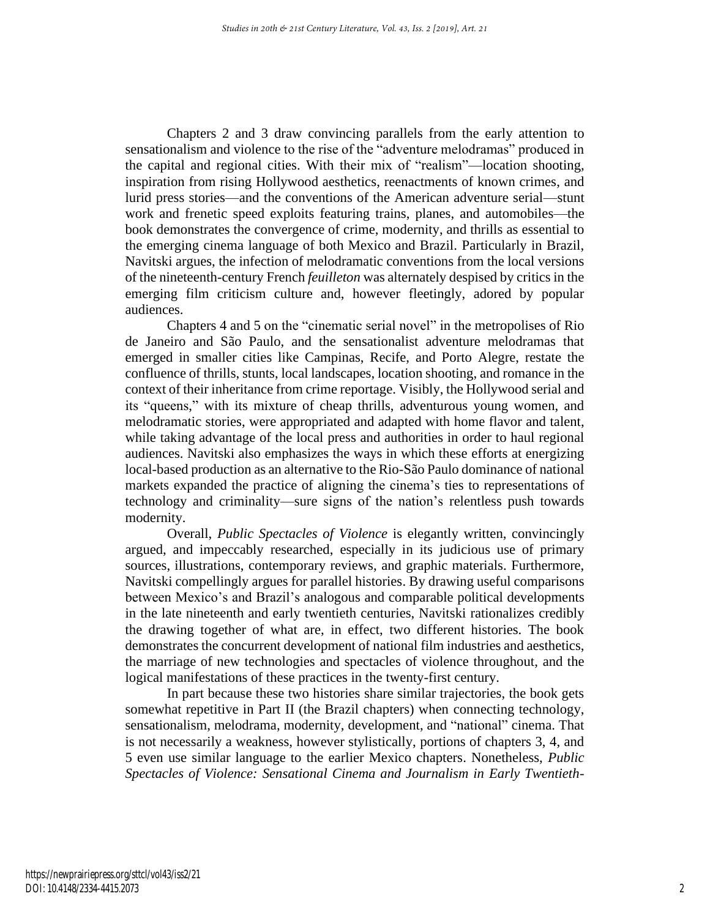Chapters 2 and 3 draw convincing parallels from the early attention to sensationalism and violence to the rise of the "adventure melodramas" produced in the capital and regional cities. With their mix of "realism"—location shooting, inspiration from rising Hollywood aesthetics, reenactments of known crimes, and lurid press stories—and the conventions of the American adventure serial—stunt work and frenetic speed exploits featuring trains, planes, and automobiles—the book demonstrates the convergence of crime, modernity, and thrills as essential to the emerging cinema language of both Mexico and Brazil. Particularly in Brazil, Navitski argues, the infection of melodramatic conventions from the local versions of the nineteenth-century French *feuilleton* was alternately despised by critics in the emerging film criticism culture and, however fleetingly, adored by popular audiences.

Chapters 4 and 5 on the "cinematic serial novel" in the metropolises of Rio de Janeiro and São Paulo, and the sensationalist adventure melodramas that emerged in smaller cities like Campinas, Recife, and Porto Alegre, restate the confluence of thrills, stunts, local landscapes, location shooting, and romance in the context of their inheritance from crime reportage. Visibly, the Hollywood serial and its "queens," with its mixture of cheap thrills, adventurous young women, and melodramatic stories, were appropriated and adapted with home flavor and talent, while taking advantage of the local press and authorities in order to haul regional audiences. Navitski also emphasizes the ways in which these efforts at energizing local-based production as an alternative to the Rio-São Paulo dominance of national markets expanded the practice of aligning the cinema's ties to representations of technology and criminality—sure signs of the nation's relentless push towards modernity.

Overall, *Public Spectacles of Violence* is elegantly written, convincingly argued, and impeccably researched, especially in its judicious use of primary sources, illustrations, contemporary reviews, and graphic materials. Furthermore, Navitski compellingly argues for parallel histories. By drawing useful comparisons between Mexico's and Brazil's analogous and comparable political developments in the late nineteenth and early twentieth centuries, Navitski rationalizes credibly the drawing together of what are, in effect, two different histories. The book demonstrates the concurrent development of national film industries and aesthetics, the marriage of new technologies and spectacles of violence throughout, and the logical manifestations of these practices in the twenty-first century.

In part because these two histories share similar trajectories, the book gets somewhat repetitive in Part II (the Brazil chapters) when connecting technology, sensationalism, melodrama, modernity, development, and "national" cinema. That is not necessarily a weakness, however stylistically, portions of chapters 3, 4, and 5 even use similar language to the earlier Mexico chapters. Nonetheless, *Public Spectacles of Violence: Sensational Cinema and Journalism in Early Twentieth-*